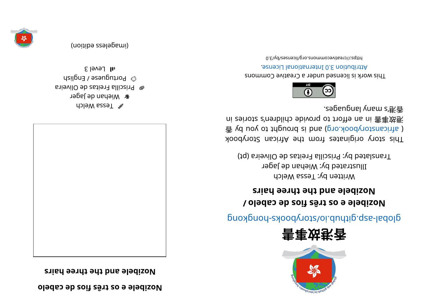**ol ebac edsoif sêrt so e el ebi zo N**

**sri ah eer ht eht dna el ebi zo N**



Welch Melch **&** Wiehan de Jager ari evil O ep setien alliosing  $\omega_{\text{B}}$  boutuguese / English  $1$  all Level 3

(imageless edition)







glops- sajar provers som a produce system in the set of such a proof and above set of  $\mathfrak{g}$ 

## **/ ol ebac edsoif sêrt so e el ebi zo N b b e e e e ht e p e nd e e ht e nd e e ht e nd e e ht e nd e e ht e nd e ht e ht e ht e ht e ht e ht e ht e ht e ht e ht**

Written by: Tessa Welch Illustrated by: Wiehan de Jager Translated by: Priscilla Freitas de Oliveira (pt)

kood yoof a siginaar ah uri setenigiyo yoot sidT  $\frac{1}{2}$  yd uoy ot tripuord si bna (pro. koodynotansoints) ni zei ot a chedi do bivonq ot trofte ni 害事对承 . segaugnal yna ms' 港⾹



This work is licensed under a Creative Commons . esnecial lanoit anternational License.

0. E\vd\zesrivecommons.org/licenses/by/3.0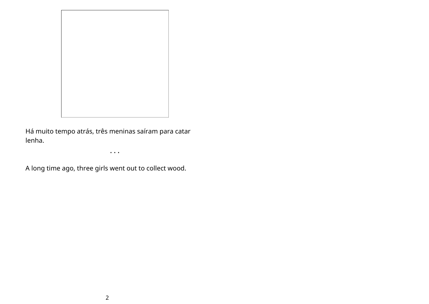

Há muito tempo atrás, três meninas saíram para catar lenha.

• • •

A long time ago, three girls went out to collect wood.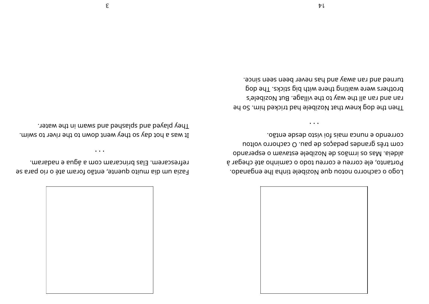

correndo e nunca mais foi visto desde então. com três grandes pedaços de pau. O cachorro voltou obns age of irmãos de Nozibele estavam o esperando Portanto, ele correu e correu todo o caminho até chegar à Logo o cachorro notou que Nozibele tinha lhe enganado.

 $\bullet\quad\bullet\quad\bullet$ 

turned and ran away and has never been seen since. brothers were waiting there with big sticks. The dog ran and ran all the way to the village. But Nozibele's Then the dog knew that Nozibele had tricked him. So he

.ms about the soring and com a água e nadaram. Fazia um dia muito quente, então foram até o rio para se

 $\bullet$   $\bullet$   $\bullet$ 

They played and splashed and swam in the water. It was a hot day so they went down to the river to swim.

 $\epsilon$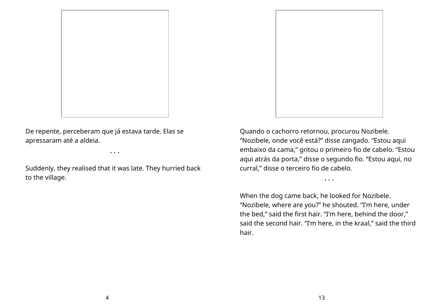

De repente, perceberam que já estava tarde. Elas se apressaram até a aldeia.

Suddenly, they realised that it was late. They hurried back to the village.

• • •



Quando o cachorro retornou, procurou Nozibele. "Nozibele, onde você está?" disse zangado. "Estou aqui embaixo da cama," gritou o primeiro fio de cabelo. "Estou aqui atrás da porta," disse o segundo fio. "Estou aqui, no curral," disse o terceiro fio de cabelo.

• • •

When the dog came back, he looked for Nozibele. "Nozibele, where are you?" he shouted. "I'm here, under the bed," said the first hair. "I'm here, behind the door," said the second hair. "I'm here, in the kraal," said the third hair.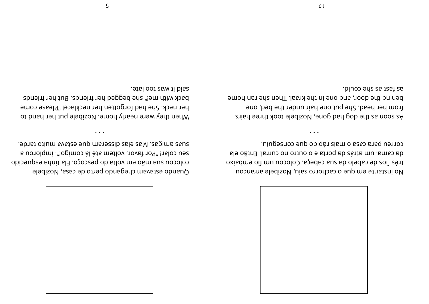

correu para casa o mais rápido que conseguiu. ale cama, um atrás da porta e o outro no curral. Então ela oxiadme oit mu uobolo a, speds sus sb oleds eb zoit zênt No instante em que o cachorro saiu, Nozibele arrancou

 $\cdots$ 

as fast as she could. behind the door, and one in the kraal. Then she ran home from her head. She put one hair under the bed, one As soon as the dog had gone, Nozibele took three hairs

. bhis of ium svates aup maneszib zale zaki . zapima zauz seu colar! "Por favor, voltem até lá comigo!", implorou a colocou sua mão em volta do pescoço. Ela tinha esquecido Quando estavam chegando perto de casa, Nozibele

 $\bullet$  . <br> <br> $\bullet$ 

. etal oot zaw ti biss back with me!" she begged her friends. But her friends her neck. She had forgotten her necklace! "Please come When they were nearly home, Nozibele put her hand to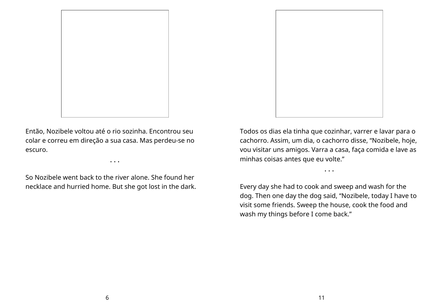

Então, Nozibele voltou até o rio sozinha. Encontrou seu colar e correu em direção a sua casa. Mas perdeu-se no escuro.

So Nozibele went back to the river alone. She found her necklace and hurried home. But she got lost in the dark.

• • •



Todos os dias ela tinha que cozinhar, varrer e lavar para o cachorro. Assim, um dia, o cachorro disse, "Nozibele, hoje, vou visitar uns amigos. Varra a casa, faça comida e lave as minhas coisas antes que eu volte."

• • •

Every day she had to cook and sweep and wash for the dog. Then one day the dog said, "Nozibele, today I have to visit some friends. Sweep the house, cook the food and wash my things before I come back."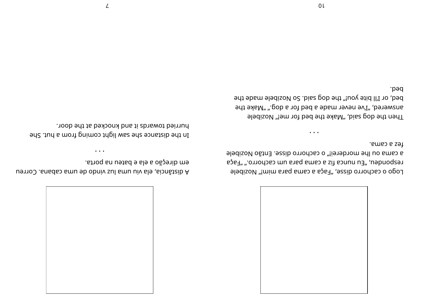

fez a cama. a cama ou lhe morderei!" o cachorro disse. Então Nozibele responden, "Eu nunca fiz a cama para um cachorro." "Faça Logo o cachorro disse, "Faça a cama para mim!" Nozibele

 $\cdots$ 

.bed. bed, or I'll bite you!" the dog said. So Nozibele made the answered, "I've never made a bed for a dog." "Make the Then the dog said,"blake the bed for me!" Nozibele

 $0<sub>l</sub>$ 

em direção a ela e bateu na porta. A distância, ela viu uma luz vindo de uma cabana. Correu

 $\bullet$   $\bullet$   $\bullet$ 

hurried towards it and knocked at the door. In the distance she saw light coming from a hut. She